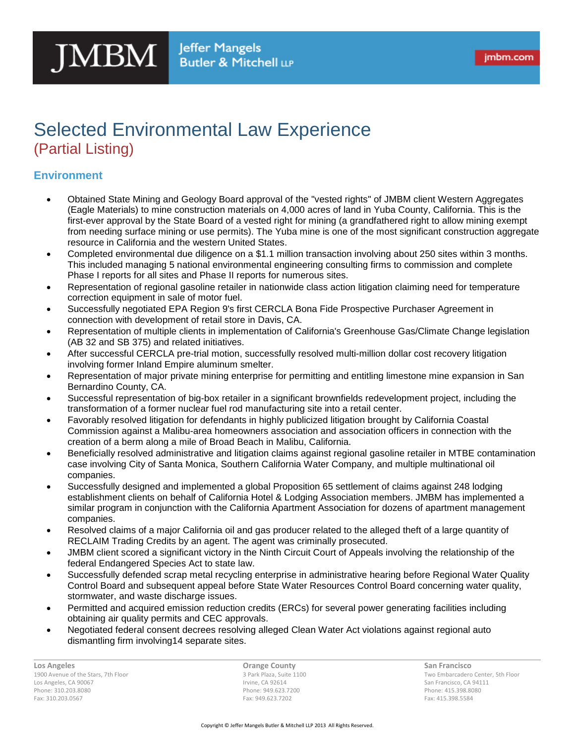## Selected Environmental Law Experience (Partial Listing)

## **Environment**

- Obtained State Mining and Geology Board approval of the "vested rights" of JMBM client Western Aggregates (Eagle Materials) to mine construction materials on 4,000 acres of land in Yuba County, California. This is the first-ever approval by the State Board of a vested right for mining (a grandfathered right to allow mining exempt from needing surface mining or use permits). The Yuba mine is one of the most significant construction aggregate resource in California and the western United States.
- Completed environmental due diligence on a \$1.1 million transaction involving about 250 sites within 3 months. This included managing 5 national environmental engineering consulting firms to commission and complete Phase I reports for all sites and Phase II reports for numerous sites.
- Representation of regional gasoline retailer in nationwide class action litigation claiming need for temperature correction equipment in sale of motor fuel.
- Successfully negotiated EPA Region 9's first CERCLA Bona Fide Prospective Purchaser Agreement in connection with development of retail store in Davis, CA.
- Representation of multiple clients in implementation of California's Greenhouse Gas/Climate Change legislation (AB 32 and SB 375) and related initiatives.
- After successful CERCLA pre-trial motion, successfully resolved multi-million dollar cost recovery litigation involving former Inland Empire aluminum smelter.
- Representation of major private mining enterprise for permitting and entitling limestone mine expansion in San Bernardino County, CA.
- Successful representation of big-box retailer in a significant brownfields redevelopment project, including the transformation of a former nuclear fuel rod manufacturing site into a retail center.
- Favorably resolved litigation for defendants in highly publicized litigation brought by California Coastal Commission against a Malibu-area homeowners association and association officers in connection with the creation of a berm along a mile of Broad Beach in Malibu, California.
- Beneficially resolved administrative and litigation claims against regional gasoline retailer in MTBE contamination case involving City of Santa Monica, Southern California Water Company, and multiple multinational oil companies.
- Successfully designed and implemented a global Proposition 65 settlement of claims against 248 lodging establishment clients on behalf of California Hotel & Lodging Association members. JMBM has implemented a similar program in conjunction with the California Apartment Association for dozens of apartment management companies.
- Resolved claims of a major California oil and gas producer related to the alleged theft of a large quantity of RECLAIM Trading Credits by an agent. The agent was criminally prosecuted.
- JMBM client scored a significant victory in the Ninth Circuit Court of Appeals involving the relationship of the federal Endangered Species Act to state law.
- Successfully defended scrap metal recycling enterprise in administrative hearing before Regional Water Quality Control Board and subsequent appeal before State Water Resources Control Board concerning water quality, stormwater, and waste discharge issues.
- Permitted and acquired emission reduction credits (ERCs) for several power generating facilities including obtaining air quality permits and CEC approvals.
- Negotiated federal consent decrees resolving alleged Clean Water Act violations against regional auto dismantling firm involving14 separate sites.

**Los Angeles** 1900 Avenue of the Stars, 7th Floor Los Angeles, CA 90067 Phone: 310.203.8080 Fax: 310.203.0567

**Orange County** 3 Park Plaza, Suite 1100 Irvine, CA 92614 Phone: 949.623.7200 Fax: 949.623.7202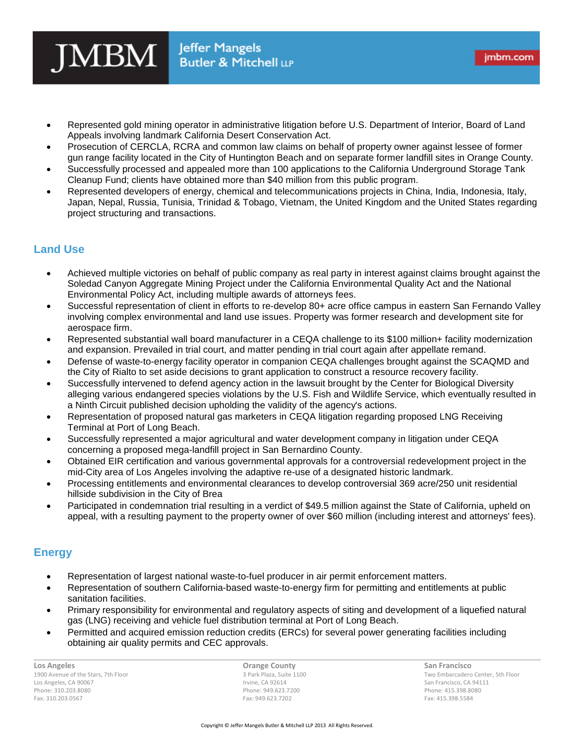- Represented gold mining operator in administrative litigation before U.S. Department of Interior, Board of Land Appeals involving landmark California Desert Conservation Act.
- Prosecution of CERCLA, RCRA and common law claims on behalf of property owner against lessee of former gun range facility located in the City of Huntington Beach and on separate former landfill sites in Orange County.
- Successfully processed and appealed more than 100 applications to the California Underground Storage Tank Cleanup Fund; clients have obtained more than \$40 million from this public program.
- Represented developers of energy, chemical and telecommunications projects in China, India, Indonesia, Italy, Japan, Nepal, Russia, Tunisia, Trinidad & Tobago, Vietnam, the United Kingdom and the United States regarding project structuring and transactions.

## **Land Use**

- Achieved multiple victories on behalf of public company as real party in interest against claims brought against the Soledad Canyon Aggregate Mining Project under the California Environmental Quality Act and the National Environmental Policy Act, including multiple awards of attorneys fees.
- Successful representation of client in efforts to re-develop 80+ acre office campus in eastern San Fernando Valley involving complex environmental and land use issues. Property was former research and development site for aerospace firm.
- Represented substantial wall board manufacturer in a CEQA challenge to its \$100 million+ facility modernization and expansion. Prevailed in trial court, and matter pending in trial court again after appellate remand.
- Defense of waste-to-energy facility operator in companion CEQA challenges brought against the SCAQMD and the City of Rialto to set aside decisions to grant application to construct a resource recovery facility.
- Successfully intervened to defend agency action in the lawsuit brought by the Center for Biological Diversity alleging various endangered species violations by the U.S. Fish and Wildlife Service, which eventually resulted in a Ninth Circuit published decision upholding the validity of the agency's actions.
- Representation of proposed natural gas marketers in CEQA litigation regarding proposed LNG Receiving Terminal at Port of Long Beach.
- Successfully represented a major agricultural and water development company in litigation under CEQA concerning a proposed mega-landfill project in San Bernardino County.
- Obtained EIR certification and various governmental approvals for a controversial redevelopment project in the mid-City area of Los Angeles involving the adaptive re-use of a designated historic landmark.
- Processing entitlements and environmental clearances to develop controversial 369 acre/250 unit residential hillside subdivision in the City of Brea
- Participated in condemnation trial resulting in a verdict of \$49.5 million against the State of California, upheld on appeal, with a resulting payment to the property owner of over \$60 million (including interest and attorneys' fees).

## **Energy**

- Representation of largest national waste-to-fuel producer in air permit enforcement matters.
- Representation of southern California-based waste-to-energy firm for permitting and entitlements at public sanitation facilities.
- Primary responsibility for environmental and regulatory aspects of siting and development of a liquefied natural gas (LNG) receiving and vehicle fuel distribution terminal at Port of Long Beach.
- Permitted and acquired emission reduction credits (ERCs) for several power generating facilities including obtaining air quality permits and CEC approvals.

**Los Angeles** 1900 Avenue of the Stars, 7th Floor Los Angeles, CA 90067 Phone: 310.203.8080 Fax: 310.203.0567

**Orange County** 3 Park Plaza, Suite 1100 Irvine, CA 92614 Phone: 949.623.7200 Fax: 949.623.7202

**San Francisco** Two Embarcadero Center, 5th Floor San Francisco, CA 94111 Phone: 415.398.8080 Fax: 415.398.5584

imbm.com